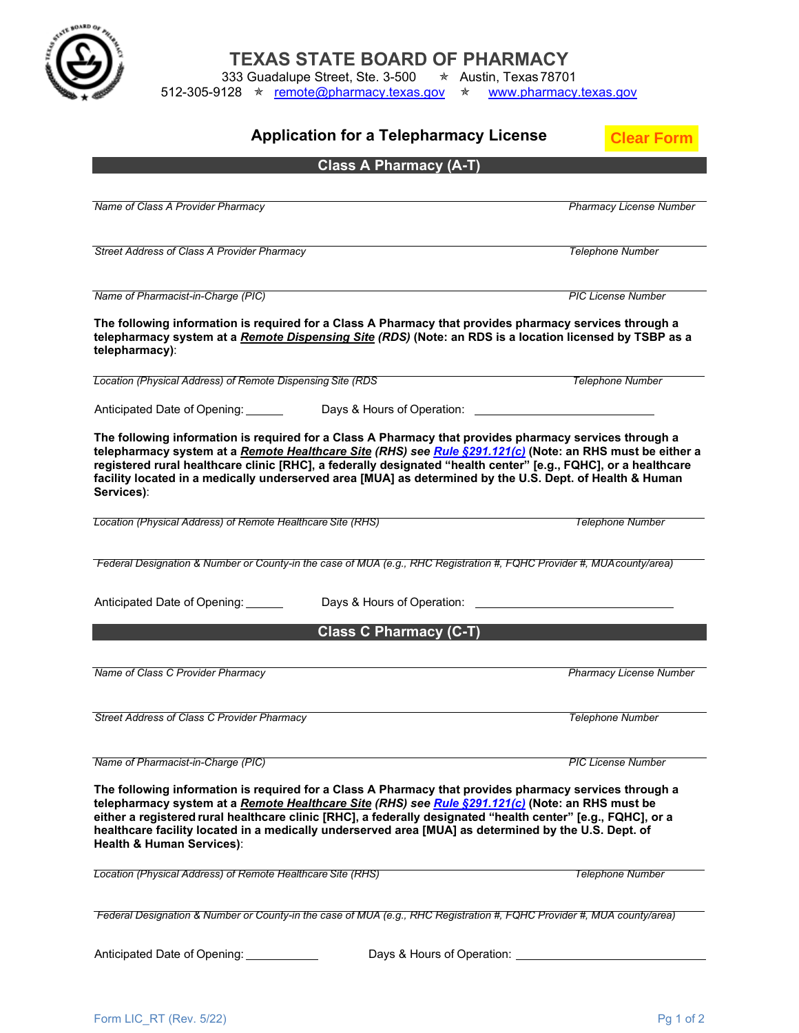

**TEXAS STATE BOARD OF PHARMACY**

333 Guadalupe Street, Ste. 3-500  $\quad \star \quad$  Austin, Texas78701

512-305-9128 ★ [remote@pharmacy.texas.gov](mailto:remote@pharmacy.texas.gov) ★ [www.pharmacy.texas.gov](http://www.pharmacy.texas.gov/)

| <b>Application for a Telepharmacy License</b>                                                                                                                                                                                                                                                                                                                                                                                                                              | <b>Clear Forn</b>              |
|----------------------------------------------------------------------------------------------------------------------------------------------------------------------------------------------------------------------------------------------------------------------------------------------------------------------------------------------------------------------------------------------------------------------------------------------------------------------------|--------------------------------|
| <b>Class A Pharmacy (A-T)</b>                                                                                                                                                                                                                                                                                                                                                                                                                                              |                                |
| Name of Class A Provider Pharmacy                                                                                                                                                                                                                                                                                                                                                                                                                                          | <b>Pharmacy License Number</b> |
| Street Address of Class A Provider Pharmacy                                                                                                                                                                                                                                                                                                                                                                                                                                | <b>Telephone Number</b>        |
| Name of Pharmacist-in-Charge (PIC)                                                                                                                                                                                                                                                                                                                                                                                                                                         | <b>PIC License Number</b>      |
| The following information is required for a Class A Pharmacy that provides pharmacy services through a<br>telepharmacy system at a Remote Dispensing Site (RDS) (Note: an RDS is a location licensed by TSBP as a<br>telepharmacy):                                                                                                                                                                                                                                        |                                |
| Location (Physical Address) of Remote Dispensing Site (RDS                                                                                                                                                                                                                                                                                                                                                                                                                 | <b>Telephone Number</b>        |
| Anticipated Date of Opening:<br>Days & Hours of Operation:                                                                                                                                                                                                                                                                                                                                                                                                                 |                                |
| The following information is required for a Class A Pharmacy that provides pharmacy services through a<br>telepharmacy system at a Remote Healthcare Site (RHS) see Rule §291.121(c) (Note: an RHS must be either a<br>registered rural healthcare clinic [RHC], a federally designated "health center" [e.g., FQHC], or a healthcare<br>facility located in a medically underserved area [MUA] as determined by the U.S. Dept. of Health & Human<br>Services):            |                                |
| Location (Physical Address) of Remote Healthcare Site (RHS)                                                                                                                                                                                                                                                                                                                                                                                                                | <b>Telephone Number</b>        |
| Federal Designation & Number or County-in the case of MUA (e.g., RHC Registration #, FQHC Provider #, MUAcounty/area)                                                                                                                                                                                                                                                                                                                                                      |                                |
| Anticipated Date of Opening:<br>Days & Hours of Operation:                                                                                                                                                                                                                                                                                                                                                                                                                 |                                |
| <b>Class C Pharmacy (C-T)</b>                                                                                                                                                                                                                                                                                                                                                                                                                                              |                                |
| Name of Class C Provider Pharmacy                                                                                                                                                                                                                                                                                                                                                                                                                                          | <b>Pharmacy License Number</b> |
| Street Address of Class C Provider Pharmacy                                                                                                                                                                                                                                                                                                                                                                                                                                | <b>Telephone Number</b>        |
| Name of Pharmacist-in-Charge (PIC)                                                                                                                                                                                                                                                                                                                                                                                                                                         | <b>PIC License Number</b>      |
| The following information is required for a Class A Pharmacy that provides pharmacy services through a<br>telepharmacy system at a Remote Healthcare Site (RHS) see Rule §291.121(c) (Note: an RHS must be<br>either a registered rural healthcare clinic [RHC], a federally designated "health center" [e.g., FQHC], or a<br>healthcare facility located in a medically underserved area [MUA] as determined by the U.S. Dept. of<br><b>Health &amp; Human Services):</b> |                                |
| Location (Physical Address) of Remote Healthcare Site (RHS)                                                                                                                                                                                                                                                                                                                                                                                                                | <b>Telephone Number</b>        |
| Federal Designation & Number or County-in the case of MUA (e.g., RHC Registration #, FQHC Provider #, MUA county/area)                                                                                                                                                                                                                                                                                                                                                     |                                |
| Anticipated Date of Opening: ____________                                                                                                                                                                                                                                                                                                                                                                                                                                  |                                |